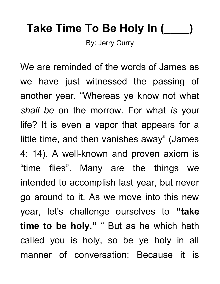## **Take Time To Be Holy In (\_\_\_\_)**

By: Jerry Curry

We are reminded of the words of James as we have just witnessed the passing of another year. "Whereas ye know not what *shall be* on the morrow. For what *is* your life? It is even a vapor that appears for a little time, and then vanishes away" (James 4: 14). A well-known and proven axiom is "time flies". Many are the things we intended to accomplish last year, but never go around to it. As we move into this new year, let's challenge ourselves to **"take time to be holy."** " But as he which hath called you is holy, so be ye holy in all manner of conversation; Because it is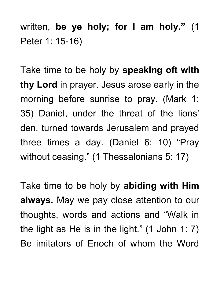written, **be ye holy; for I am holy."** (1 Peter 1: 15-16)

Take time to be holy by **speaking oft with thy Lord** in prayer. Jesus arose early in the morning before sunrise to pray. (Mark 1: 35) Daniel, under the threat of the lions' den, turned towards Jerusalem and prayed three times a day. (Daniel 6: 10) "Pray without ceasing." (1 Thessalonians 5: 17)

Take time to be holy by **abiding with Him always.** May we pay close attention to our thoughts, words and actions and "Walk in the light as He is in the light." (1 John 1: 7) Be imitators of Enoch of whom the Word